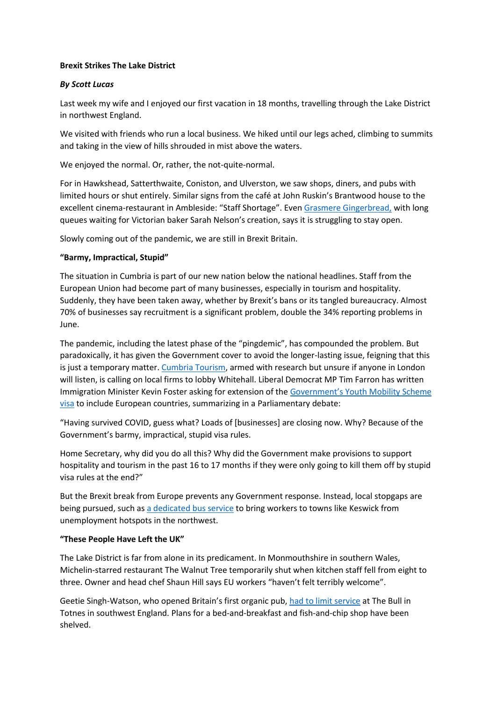#### **Brexit Strikes The Lake District**

# *By Scott Lucas*

Last week my wife and I enjoyed our first vacation in 18 months, travelling through the Lake District in northwest England.

We visited with friends who run a local business. We hiked until our legs ached, climbing to summits and taking in the view of hills shrouded in mist above the waters.

We enjoyed the normal. Or, rather, the not-quite-normal.

For in Hawkshead, Satterthwaite, Coniston, and Ulverston, we saw shops, diners, and pubs with limited hours or shut entirely. Similar signs from the café at John Ruskin's Brantwood house to the excellent cinema-restaurant in Ambleside: "Staff Shortage". Even [Grasmere Gingerbread,](https://www.in-cumbria.com/news/19436955.cumbria-staffing-crisis-threatens-grasmere-gingerbread/) with long queues waiting for Victorian baker Sarah Nelson's creation, says it is struggling to stay open.

Slowly coming out of the pandemic, we are still in Brexit Britain.

# **"Barmy, Impractical, Stupid"**

The situation in Cumbria is part of our new nation below the national headlines. Staff from the European Union had become part of many businesses, especially in tourism and hospitality. Suddenly, they have been taken away, whether by Brexit's bans or its tangled bureaucracy. Almost 70% of businesses say recruitment is a significant problem, double the 34% reporting problems in June.

The pandemic, including the latest phase of the "pingdemic", has compounded the problem. But paradoxically, it has given the Government cover to avoid the longer-lasting issue, feigning that this is just a temporary matter. [Cumbria Tourism,](https://www.in-cumbria.com/news/19509927.cumbria-tourism-boss-urges-businesses-speak-staffing-shortage/) armed with research but unsure if anyone in London will listen, is calling on local firms to lobby Whitehall. Liberal Democrat MP Tim Farron has written Immigration Minister Kevin Foster asking for extension of the [Government's Youth Mobility Scheme](https://cumbriacrack.com/2021/07/21/cumbrian-mp-urges-government-to-address-countys-staffing-crisis/)  [visa](https://cumbriacrack.com/2021/07/21/cumbrian-mp-urges-government-to-address-countys-staffing-crisis/) to include European countries, summarizing in a Parliamentary debate:

"Having survived COVID, guess what? Loads of [businesses] are closing now. Why? Because of the Government's barmy, impractical, stupid visa rules.

Home Secretary, why did you do all this? Why did the Government make provisions to support hospitality and tourism in the past 16 to 17 months if they were only going to kill them off by stupid visa rules at the end?"

But the Brexit break from Europe prevents any Government response. Instead, local stopgaps are being pursued, such as [a dedicated bus service](https://keswickreminder.co.uk/2021/07/29/plans-to-bus-in-workers-to-keswick-from-west-cumbria-gains-momentum/) to bring workers to towns like Keswick from unemployment hotspots in the northwest.

#### **"These People Have Left the UK"**

The Lake District is far from alone in its predicament. In Monmouthshire in southern Wales, Michelin-starred restaurant The Walnut Tree temporarily shut when kitchen staff fell from eight to three. Owner and head chef Shaun Hill says EU workers "haven't felt terribly welcome".

Geetie Singh-Watson, who opened Britain's first organic pub, [had to limit service](https://www.business-live.co.uk/retail-consumer/brexit-staff-shortages-next-problem-21177909) at The Bull in Totnes in southwest England. Plans for a bed-and-breakfast and fish-and-chip shop have been shelved.